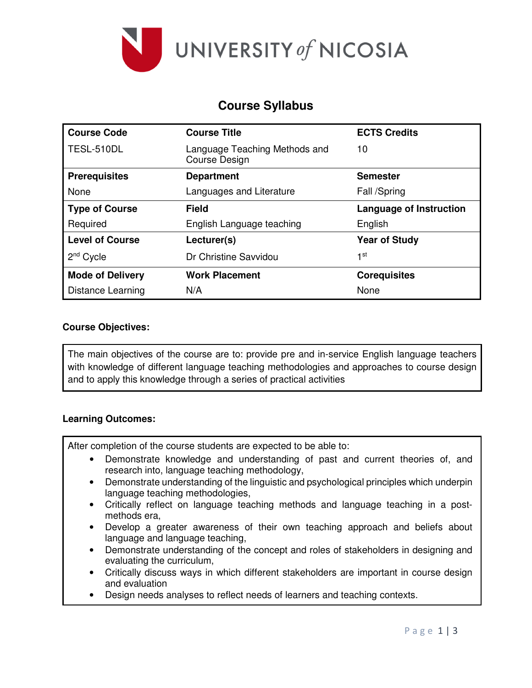

# **Course Syllabus**

| <b>Course Code</b>      | <b>Course Title</b>                                   | <b>ECTS Credits</b>            |  |  |
|-------------------------|-------------------------------------------------------|--------------------------------|--|--|
| TESL-510DL              | Language Teaching Methods and<br><b>Course Design</b> | 10                             |  |  |
| <b>Prerequisites</b>    | <b>Department</b>                                     | <b>Semester</b>                |  |  |
| None                    | Languages and Literature                              | Fall /Spring                   |  |  |
| <b>Type of Course</b>   | <b>Field</b>                                          | <b>Language of Instruction</b> |  |  |
| Required                | English Language teaching                             | English                        |  |  |
| <b>Level of Course</b>  | Lecturer(s)                                           | <b>Year of Study</b>           |  |  |
| $2nd$ Cycle             | Dr Christine Savvidou                                 | 1st                            |  |  |
| <b>Mode of Delivery</b> | <b>Work Placement</b>                                 | <b>Corequisites</b>            |  |  |
| Distance Learning       | N/A                                                   | None                           |  |  |

#### **Course Objectives:**

The main objectives of the course are to: provide pre and in-service English language teachers with knowledge of different language teaching methodologies and approaches to course design and to apply this knowledge through a series of practical activities

#### **Learning Outcomes:**

After completion of the course students are expected to be able to:

- Demonstrate knowledge and understanding of past and current theories of, and research into, language teaching methodology,
- Demonstrate understanding of the linguistic and psychological principles which underpin language teaching methodologies,
- Critically reflect on language teaching methods and language teaching in a postmethods era,
- Develop a greater awareness of their own teaching approach and beliefs about language and language teaching,
- Demonstrate understanding of the concept and roles of stakeholders in designing and evaluating the curriculum,
- Critically discuss ways in which different stakeholders are important in course design and evaluation
- Design needs analyses to reflect needs of learners and teaching contexts.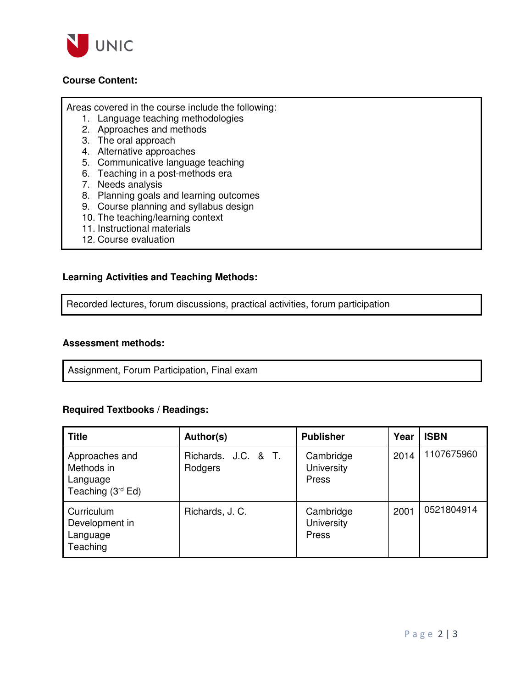

### **Course Content:**

Areas covered in the course include the following:

- 1. Language teaching methodologies
- 2. Approaches and methods
- 3. The oral approach
- 4. Alternative approaches
- 5. Communicative language teaching
- 6. Teaching in a post-methods era
- 7. Needs analysis
- 8. Planning goals and learning outcomes
- 9. Course planning and syllabus design
- 10. The teaching/learning context
- 11. Instructional materials
- 12. Course evaluation

#### **Learning Activities and Teaching Methods:**

Recorded lectures, forum discussions, practical activities, forum participation

#### **Assessment methods:**

Assignment, Forum Participation, Final exam

#### **Required Textbooks / Readings:**

| <b>Title</b>                                                    | Author(s)                      | <b>Publisher</b>                 | Year | <b>ISBN</b> |
|-----------------------------------------------------------------|--------------------------------|----------------------------------|------|-------------|
| Approaches and<br>Methods in<br>Language<br>Teaching $(3rd Ed)$ | Richards. J.C. & T.<br>Rodgers | Cambridge<br>University<br>Press | 2014 | 1107675960  |
| Curriculum<br>Development in<br>Language<br>Teaching            | Richards, J. C.                | Cambridge<br>University<br>Press | 2001 | 0521804914  |